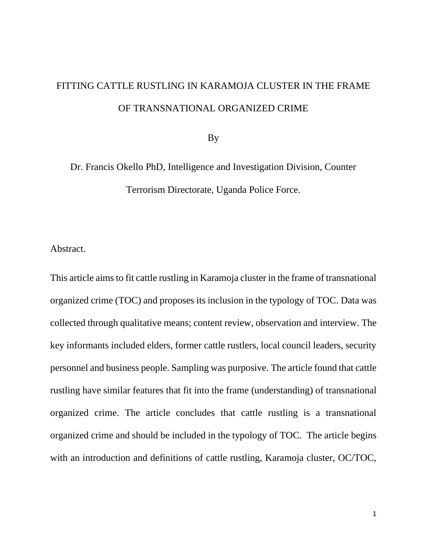# FITTING CATTLE RUSTLING IN KARAMOJA CLUSTER IN THE FRAME OF TRANSNATIONAL ORGANIZED CRIME

By

Dr. Francis Okello PhD, Intelligence and Investigation Division, Counter Terrorism Directorate, Uganda Police Force.

Abstract.

This article aims to fit cattle rustling in Karamoja cluster in the frame of transnational organized crime (TOC) and proposes its inclusion in the typology of TOC. Data was collected through qualitative means; content review, observation and interview. The key informants included elders, former cattle rustlers, local council leaders, security personnel and business people. Sampling was purposive. The article found that cattle rustling have similar features that fit into the frame (understanding) of transnational organized crime. The article concludes that cattle rustling is a transnational organized crime and should be included in the typology of TOC. The article begins with an introduction and definitions of cattle rustling, Karamoja cluster, OC/TOC,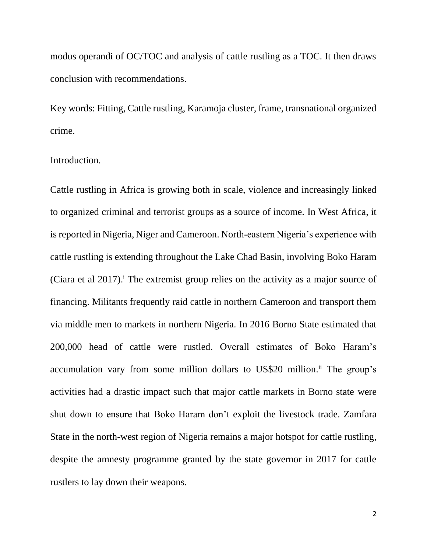modus operandi of OC/TOC and analysis of cattle rustling as a TOC. It then draws conclusion with recommendations.

Key words: Fitting, Cattle rustling, Karamoja cluster, frame, transnational organized crime.

#### Introduction.

Cattle rustling in Africa is growing both in scale, violence and increasingly linked to organized criminal and terrorist groups as a source of income. In West Africa, it is reported in Nigeria, Niger and Cameroon. North-eastern Nigeria's experience with cattle rustling is extending throughout the Lake Chad Basin, involving Boko Haram (Ciara et al  $2017$ ).<sup> $\text{i}$ </sup> The extremist group relies on the activity as a major source of financing. Militants frequently raid cattle in northern Cameroon and transport them via middle men to markets in northern Nigeria. In 2016 Borno State estimated that 200,000 head of cattle were rustled. Overall estimates of Boko Haram's accumulation vary from some million dollars to US\$20 million.<sup>ii</sup> The group's activities had a drastic impact such that major cattle markets in Borno state were shut down to ensure that Boko Haram don't exploit the livestock trade. Zamfara State in the north-west region of Nigeria remains a major hotspot for cattle rustling, despite the amnesty programme granted by the state governor in 2017 for cattle rustlers to lay down their weapons.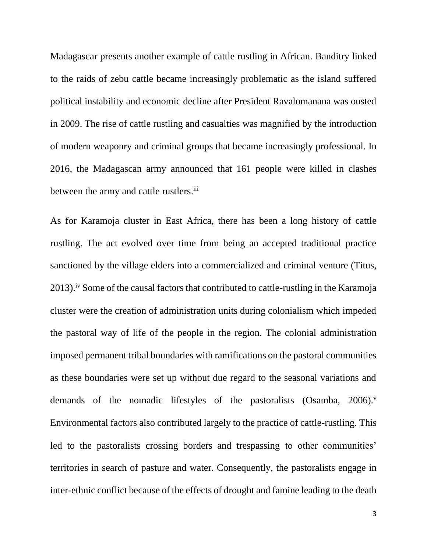Madagascar presents another example of cattle rustling in African. Banditry linked to the raids of zebu cattle became increasingly problematic as the island suffered political instability and economic decline after President Ravalomanana was ousted in 2009. The rise of cattle rustling and casualties was magnified by the introduction of modern weaponry and criminal groups that became increasingly professional. In 2016, the Madagascan army announced that 161 people were killed in clashes between the army and cattle rustlers.<sup>iii</sup>

As for Karamoja cluster in East Africa, there has been a long history of cattle rustling. The act evolved over time from being an accepted traditional practice sanctioned by the village elders into a commercialized and criminal venture (Titus, 2013).<sup>iv</sup> Some of the causal factors that contributed to cattle-rustling in the Karamoja cluster were the creation of administration units during colonialism which impeded the pastoral way of life of the people in the region. The colonial administration imposed permanent tribal boundaries with ramifications on the pastoral communities as these boundaries were set up without due regard to the seasonal variations and demands of the nomadic lifestyles of the pastoralists (Osamba,  $2006$ ). Environmental factors also contributed largely to the practice of cattle-rustling. This led to the pastoralists crossing borders and trespassing to other communities' territories in search of pasture and water. Consequently, the pastoralists engage in inter-ethnic conflict because of the effects of drought and famine leading to the death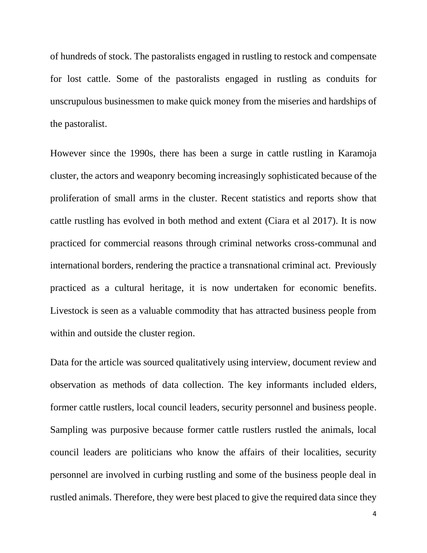of hundreds of stock. The pastoralists engaged in rustling to restock and compensate for lost cattle. Some of the pastoralists engaged in rustling as conduits for unscrupulous businessmen to make quick money from the miseries and hardships of the pastoralist.

However since the 1990s, there has been a surge in cattle rustling in Karamoja cluster, the actors and weaponry becoming increasingly sophisticated because of the proliferation of small arms in the cluster. Recent statistics and reports show that cattle rustling has evolved in both method and extent (Ciara et al 2017). It is now practiced for commercial reasons through criminal networks cross-communal and international borders, rendering the practice a transnational criminal act. Previously practiced as a cultural heritage, it is now undertaken for economic benefits. Livestock is seen as a valuable commodity that has attracted business people from within and outside the cluster region.

Data for the article was sourced qualitatively using interview, document review and observation as methods of data collection. The key informants included elders, former cattle rustlers, local council leaders, security personnel and business people. Sampling was purposive because former cattle rustlers rustled the animals, local council leaders are politicians who know the affairs of their localities, security personnel are involved in curbing rustling and some of the business people deal in rustled animals. Therefore, they were best placed to give the required data since they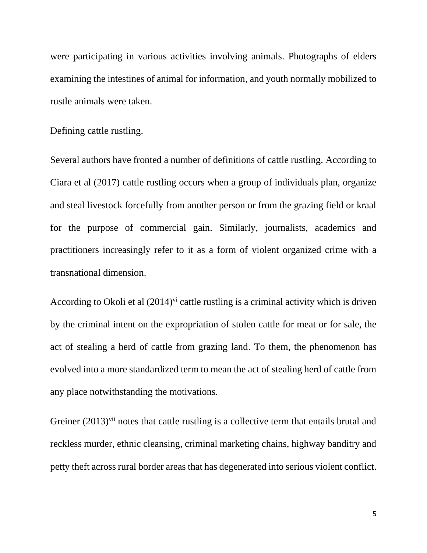were participating in various activities involving animals. Photographs of elders examining the intestines of animal for information, and youth normally mobilized to rustle animals were taken.

Defining cattle rustling.

Several authors have fronted a number of definitions of cattle rustling. According to Ciara et al (2017) cattle rustling occurs when a group of individuals plan, organize and steal livestock forcefully from another person or from the grazing field or kraal for the purpose of commercial gain. Similarly, journalists, academics and practitioners increasingly refer to it as a form of violent organized crime with a transnational dimension.

According to Okoli et al  $(2014)$ <sup>vi</sup> cattle rustling is a criminal activity which is driven by the criminal intent on the expropriation of stolen cattle for meat or for sale, the act of stealing a herd of cattle from grazing land. To them, the phenomenon has evolved into a more standardized term to mean the act of stealing herd of cattle from any place notwithstanding the motivations.

Greiner (2013)<sup>vii</sup> notes that cattle rustling is a collective term that entails brutal and reckless murder, ethnic cleansing, criminal marketing chains, highway banditry and petty theft across rural border areas that has degenerated into serious violent conflict.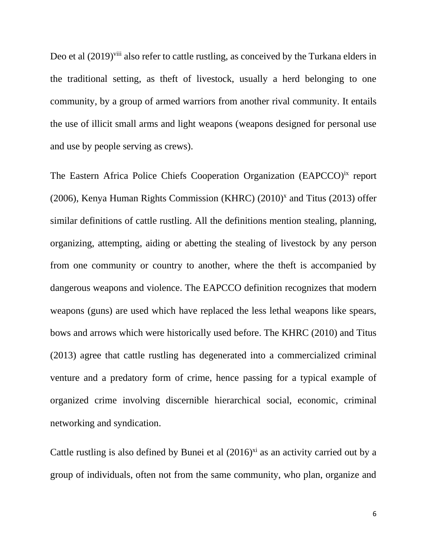Deo et al  $(2019)$ <sup>viii</sup> also refer to cattle rustling, as conceived by the Turkana elders in the traditional setting, as theft of livestock, usually a herd belonging to one community, by a group of armed warriors from another rival community. It entails the use of illicit small arms and light weapons (weapons designed for personal use and use by people serving as crews).

The Eastern Africa Police Chiefs Cooperation Organization (EAPCCO)<sup>ix</sup> report  $(2006)$ , Kenya Human Rights Commission (KHRC)  $(2010)^x$  and Titus  $(2013)$  offer similar definitions of cattle rustling. All the definitions mention stealing, planning, organizing, attempting, aiding or abetting the stealing of livestock by any person from one community or country to another, where the theft is accompanied by dangerous weapons and violence. The EAPCCO definition recognizes that modern weapons (guns) are used which have replaced the less lethal weapons like spears, bows and arrows which were historically used before. The KHRC (2010) and Titus (2013) agree that cattle rustling has degenerated into a commercialized criminal venture and a predatory form of crime, hence passing for a typical example of organized crime involving discernible hierarchical social, economic, criminal networking and syndication.

Cattle rustling is also defined by Bunei et al  $(2016)^{xi}$  as an activity carried out by a group of individuals, often not from the same community, who plan, organize and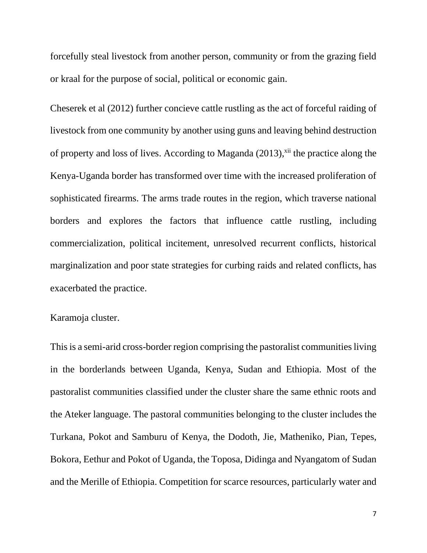forcefully steal livestock from another person, community or from the grazing field or kraal for the purpose of social, political or economic gain.

Cheserek et al (2012) further concieve cattle rustling as the act of forceful raiding of livestock from one community by another using guns and leaving behind destruction of property and loss of lives. According to Maganda (2013),<sup>xii</sup> the practice along the Kenya-Uganda border has transformed over time with the increased proliferation of sophisticated firearms. The arms trade routes in the region, which traverse national borders and explores the factors that influence cattle rustling, including commercialization, political incitement, unresolved recurrent conflicts, historical marginalization and poor state strategies for curbing raids and related conflicts, has exacerbated the practice.

## Karamoja cluster.

This is a semi-arid cross-border region comprising the pastoralist communities living in the borderlands between Uganda, Kenya, Sudan and Ethiopia. Most of the pastoralist communities classified under the cluster share the same ethnic roots and the Ateker language. The pastoral communities belonging to the cluster includes the Turkana, Pokot and Samburu of Kenya, the Dodoth, Jie, Matheniko, Pian, Tepes, Bokora, Eethur and Pokot of Uganda, the Toposa, Didinga and Nyangatom of Sudan and the Merille of Ethiopia. Competition for scarce resources, particularly water and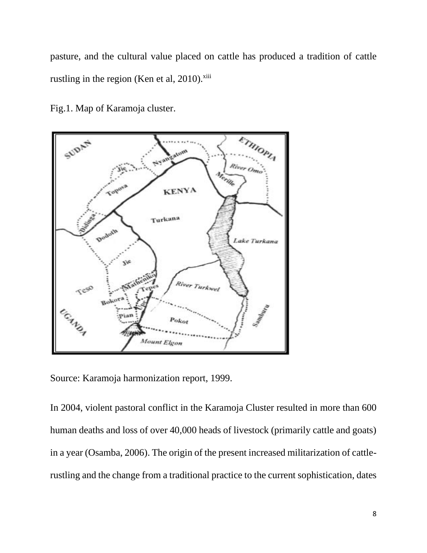pasture, and the cultural value placed on cattle has produced a tradition of cattle rustling in the region (Ken et al,  $2010$ ). $x^{iii}$ 



Fig.1. Map of Karamoja cluster.

Source: Karamoja harmonization report, 1999.

In 2004, violent pastoral conflict in the Karamoja Cluster resulted in more than 600 human deaths and loss of over 40,000 heads of livestock (primarily cattle and goats) in a year (Osamba, 2006). The origin of the present increased militarization of cattlerustling and the change from a traditional practice to the current sophistication, dates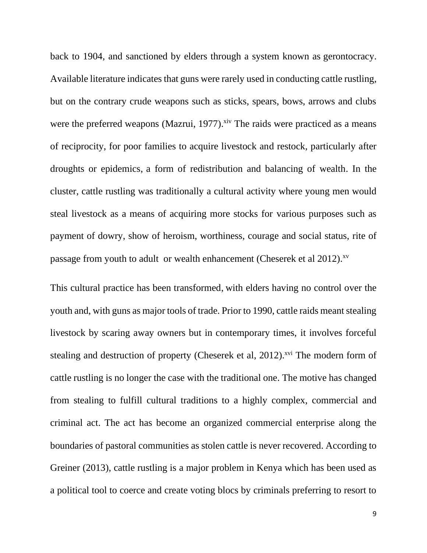back to 1904, and sanctioned by elders through a system known as gerontocracy. Available literature indicates that guns were rarely used in conducting cattle rustling, but on the contrary crude weapons such as sticks, spears, bows, arrows and clubs were the preferred weapons (Mazrui, 1977).<sup>xiv</sup> The raids were practiced as a means of reciprocity, for poor families to acquire livestock and restock, particularly after droughts or epidemics, a form of redistribution and balancing of wealth. In the cluster, cattle rustling was traditionally a cultural activity where young men would steal livestock as a means of acquiring more stocks for various purposes such as payment of dowry, show of heroism, worthiness, courage and social status, rite of passage from youth to adult or wealth enhancement (Cheserek et al 2012).<sup>xv</sup>

This cultural practice has been transformed, with elders having no control over the youth and, with guns as major tools of trade. Prior to 1990, cattle raids meant stealing livestock by scaring away owners but in contemporary times, it involves forceful stealing and destruction of property (Cheserek et al, 2012).<sup>xvi</sup> The modern form of cattle rustling is no longer the case with the traditional one. The motive has changed from stealing to fulfill cultural traditions to a highly complex, commercial and criminal act. The act has become an organized commercial enterprise along the boundaries of pastoral communities as stolen cattle is never recovered. According to Greiner (2013), cattle rustling is a major problem in Kenya which has been used as a political tool to coerce and create voting blocs by criminals preferring to resort to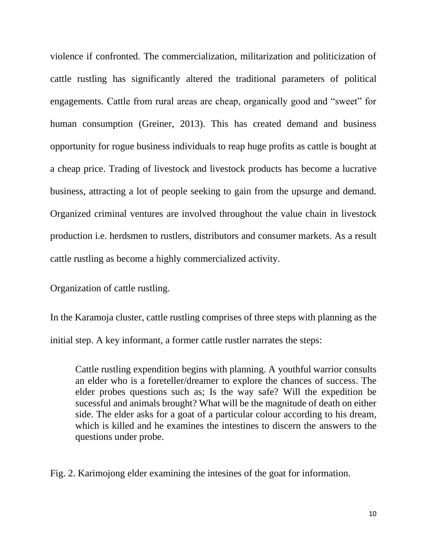violence if confronted. The commercialization, militarization and politicization of cattle rustling has significantly altered the traditional parameters of political engagements. Cattle from rural areas are cheap, organically good and "sweet" for human consumption (Greiner, 2013). This has created demand and business opportunity for rogue business individuals to reap huge profits as cattle is bought at a cheap price. Trading of livestock and livestock products has become a lucrative business, attracting a lot of people seeking to gain from the upsurge and demand. Organized criminal ventures are involved throughout the value chain in livestock production i.e. herdsmen to rustlers, distributors and consumer markets. As a result cattle rustling as become a highly commercialized activity.

Organization of cattle rustling.

In the Karamoja cluster, cattle rustling comprises of three steps with planning as the initial step. A key informant, a former cattle rustler narrates the steps:

Cattle rustling expendition begins with planning. A youthful warrior consults an elder who is a foreteller/dreamer to explore the chances of success. The elder probes questions such as; Is the way safe? Will the expedition be sucessful and animals brought? What will be the magnitude of death on either side. The elder asks for a goat of a particular colour according to his dream, which is killed and he examines the intestines to discern the answers to the questions under probe.

Fig. 2. Karimojong elder examining the intesines of the goat for information.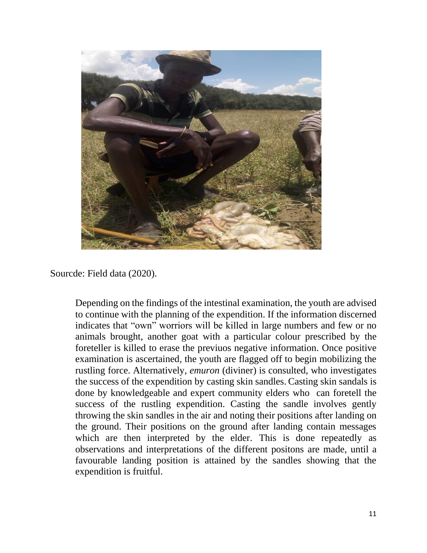

Sourcde: Field data (2020).

Depending on the findings of the intestinal examination, the youth are advised to continue with the planning of the expendition. If the information discerned indicates that "own" worriors will be killed in large numbers and few or no animals brought, another goat with a particular colour prescribed by the foreteller is killed to erase the previuos negative information. Once positive examination is ascertained, the youth are flagged off to begin mobilizing the rustling force. Alternatively, *emuron* (diviner) is consulted, who investigates the success of the expendition by casting skin sandles. Casting skin sandals is done by knowledgeable and expert community elders who can foretell the success of the rustling expendition. Casting the sandle involves gently throwing the skin sandles in the air and noting their positions after landing on the ground. Their positions on the ground after landing contain messages which are then interpreted by the elder. This is done repeatedly as observations and interpretations of the different positons are made, until a favourable landing position is attained by the sandles showing that the expendition is fruitful.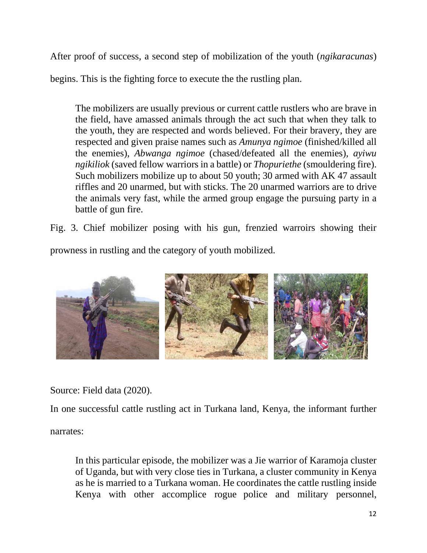After proof of success, a second step of mobilization of the youth (*ngikaracunas*)

begins. This is the fighting force to execute the the rustling plan.

The mobilizers are usually previous or current cattle rustlers who are brave in the field, have amassed animals through the act such that when they talk to the youth, they are respected and words believed. For their bravery, they are respected and given praise names such as *Amunya ngimoe* (finished/killed all the enemies), *Abwanga ngimoe* (chased/defeated all the enemies), *ayiwu ngikiliok* (saved fellow warriors in a battle) or *Thopuriethe* (smouldering fire). Such mobilizers mobilize up to about 50 youth; 30 armed with AK 47 assault riffles and 20 unarmed, but with sticks. The 20 unarmed warriors are to drive the animals very fast, while the armed group engage the pursuing party in a battle of gun fire.

Fig. 3. Chief mobilizer posing with his gun, frenzied warroirs showing their

prowness in rustling and the category of youth mobilized.



Source: Field data (2020).

In one successful cattle rustling act in Turkana land, Kenya, the informant further

narrates:

In this particular episode, the mobilizer was a Jie warrior of Karamoja cluster of Uganda, but with very close ties in Turkana, a cluster community in Kenya as he is married to a Turkana woman. He coordinates the cattle rustling inside Kenya with other accomplice rogue police and military personnel,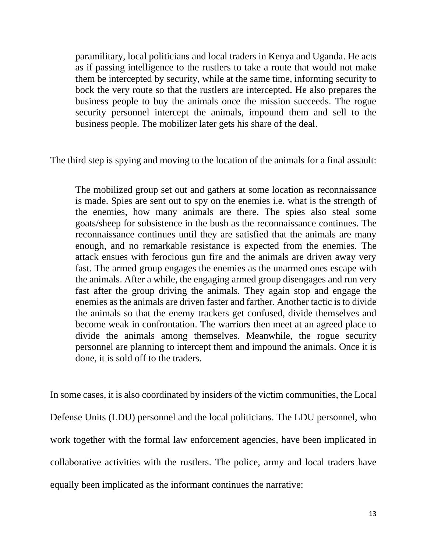paramilitary, local politicians and local traders in Kenya and Uganda. He acts as if passing intelligence to the rustlers to take a route that would not make them be intercepted by security, while at the same time, informing security to bock the very route so that the rustlers are intercepted. He also prepares the business people to buy the animals once the mission succeeds. The rogue security personnel intercept the animals, impound them and sell to the business people. The mobilizer later gets his share of the deal.

The third step is spying and moving to the location of the animals for a final assault:

The mobilized group set out and gathers at some location as reconnaissance is made. Spies are sent out to spy on the enemies i.e. what is the strength of the enemies, how many animals are there. The spies also steal some goats/sheep for subsistence in the bush as the reconnaissance continues. The reconnaissance continues until they are satisfied that the animals are many enough, and no remarkable resistance is expected from the enemies. The attack ensues with ferocious gun fire and the animals are driven away very fast. The armed group engages the enemies as the unarmed ones escape with the animals. After a while, the engaging armed group disengages and run very fast after the group driving the animals. They again stop and engage the enemies as the animals are driven faster and farther. Another tactic is to divide the animals so that the enemy trackers get confused, divide themselves and become weak in confrontation. The warriors then meet at an agreed place to divide the animals among themselves. Meanwhile, the rogue security personnel are planning to intercept them and impound the animals. Once it is done, it is sold off to the traders.

In some cases, it is also coordinated by insiders of the victim communities, the Local Defense Units (LDU) personnel and the local politicians. The LDU personnel, who work together with the formal law enforcement agencies, have been implicated in collaborative activities with the rustlers. The police, army and local traders have equally been implicated as the informant continues the narrative: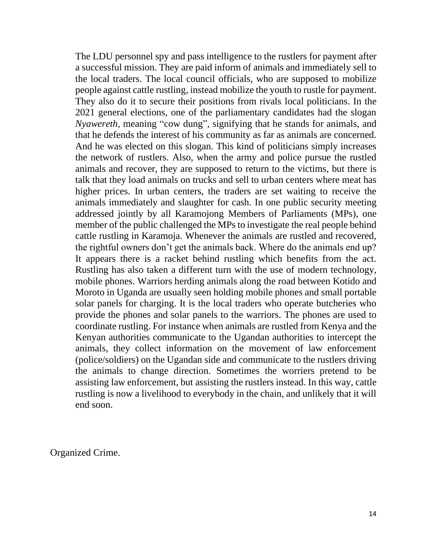The LDU personnel spy and pass intelligence to the rustlers for payment after a successful mission. They are paid inform of animals and immediately sell to the local traders. The local council officials, who are supposed to mobilize people against cattle rustling, instead mobilize the youth to rustle for payment. They also do it to secure their positions from rivals local politicians. In the 2021 general elections, one of the parliamentary candidates had the slogan *Nyawereth*, meaning "cow dung", signifying that he stands for animals, and that he defends the interest of his community as far as animals are concerned. And he was elected on this slogan. This kind of politicians simply increases the network of rustlers. Also, when the army and police pursue the rustled animals and recover, they are supposed to return to the victims, but there is talk that they load animals on trucks and sell to urban centers where meat has higher prices. In urban centers, the traders are set waiting to receive the animals immediately and slaughter for cash. In one public security meeting addressed jointly by all Karamojong Members of Parliaments (MPs), one member of the public challenged the MPs to investigate the real people behind cattle rustling in Karamoja. Whenever the animals are rustled and recovered, the rightful owners don't get the animals back. Where do the animals end up? It appears there is a racket behind rustling which benefits from the act. Rustling has also taken a different turn with the use of modern technology, mobile phones. Warriors herding animals along the road between Kotido and Moroto in Uganda are usually seen holding mobile phones and small portable solar panels for charging. It is the local traders who operate butcheries who provide the phones and solar panels to the warriors. The phones are used to coordinate rustling. For instance when animals are rustled from Kenya and the Kenyan authorities communicate to the Ugandan authorities to intercept the animals, they collect information on the movement of law enforcement (police/soldiers) on the Ugandan side and communicate to the rustlers driving the animals to change direction. Sometimes the worriers pretend to be assisting law enforcement, but assisting the rustlers instead. In this way, cattle rustling is now a livelihood to everybody in the chain, and unlikely that it will end soon.

Organized Crime.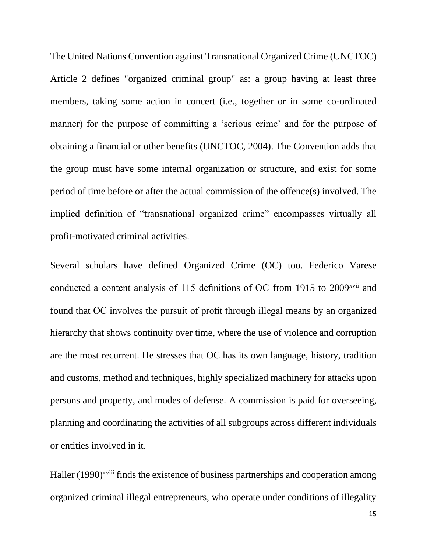The United Nations Convention against Transnational Organized Crime (UNCTOC) Article 2 defines "organized criminal group" as: a group having at least three members, taking some action in concert (i.e., together or in some co-ordinated manner) for the purpose of committing a 'serious crime' and for the purpose of obtaining a financial or other benefits (UNCTOC, 2004). The Convention adds that the group must have some internal organization or structure, and exist for some period of time before or after the actual commission of the offence(s) involved. The implied definition of "transnational organized crime" encompasses virtually all profit-motivated criminal activities.

Several scholars have defined Organized Crime (OC) too. Federico Varese conducted a content analysis of 115 definitions of OC from 1915 to 2009<sup>xvii</sup> and found that OC involves the pursuit of profit through illegal means by an organized hierarchy that shows continuity over time, where the use of violence and corruption are the most recurrent. He stresses that OC has its own language, history, tradition and customs, method and techniques, highly specialized machinery for attacks upon persons and property, and modes of defense. A commission is paid for overseeing, planning and coordinating the activities of all subgroups across different individuals or entities involved in it.

Haller (1990)<sup>xviii</sup> finds the existence of business partnerships and cooperation among organized criminal illegal entrepreneurs, who operate under conditions of illegality

15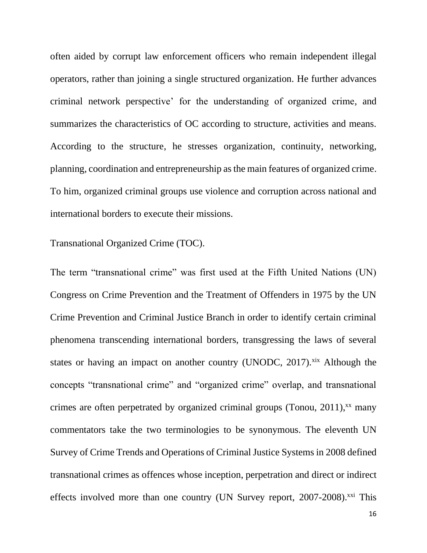often aided by corrupt law enforcement officers who remain independent illegal operators, rather than joining a single structured organization. He further advances criminal network perspective' for the understanding of organized crime, and summarizes the characteristics of OC according to structure, activities and means. According to the structure, he stresses organization, continuity, networking, planning, coordination and entrepreneurship as the main features of organized crime. To him, organized criminal groups use violence and corruption across national and international borders to execute their missions.

### Transnational Organized Crime (TOC).

The term "transnational crime" was first used at the Fifth United Nations (UN) Congress on Crime Prevention and the Treatment of Offenders in 1975 by the UN Crime Prevention and Criminal Justice Branch in order to identify certain criminal phenomena transcending international borders, transgressing the laws of several states or having an impact on another country (UNODC, 2017). $\frac{xx}{x}$  Although the concepts "transnational crime" and "organized crime" overlap, and transnational crimes are often perpetrated by organized criminal groups (Tonou,  $2011$ ),<sup>xx</sup> many commentators take the two terminologies to be synonymous. The eleventh UN Survey of Crime Trends and Operations of Criminal Justice Systems in 2008 defined transnational crimes as offences whose inception, perpetration and direct or indirect effects involved more than one country (UN Survey report,  $2007-2008$ ).<sup>xxi</sup> This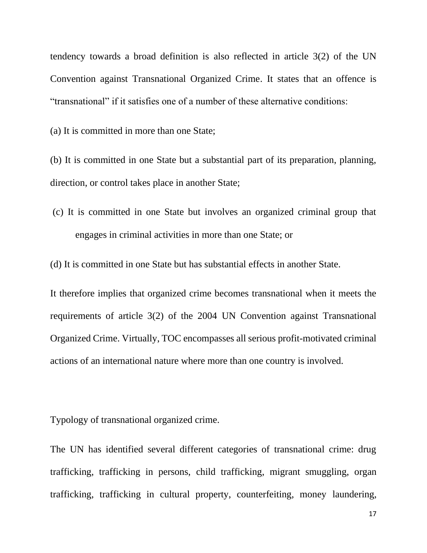tendency towards a broad definition is also reflected in article 3(2) of the UN Convention against Transnational Organized Crime. It states that an offence is "transnational" if it satisfies one of a number of these alternative conditions:

(a) It is committed in more than one State;

(b) It is committed in one State but a substantial part of its preparation, planning, direction, or control takes place in another State;

(c) It is committed in one State but involves an organized criminal group that engages in criminal activities in more than one State; or

(d) It is committed in one State but has substantial effects in another State.

It therefore implies that organized crime becomes transnational when it meets the requirements of article 3(2) of the 2004 UN Convention against Transnational Organized Crime. Virtually, TOC encompasses all serious profit-motivated criminal actions of an international nature where more than one country is involved.

Typology of transnational organized crime.

The UN has identified several different categories of transnational crime: drug trafficking, trafficking in persons, child trafficking, migrant smuggling, organ trafficking, trafficking in cultural property, counterfeiting, money laundering,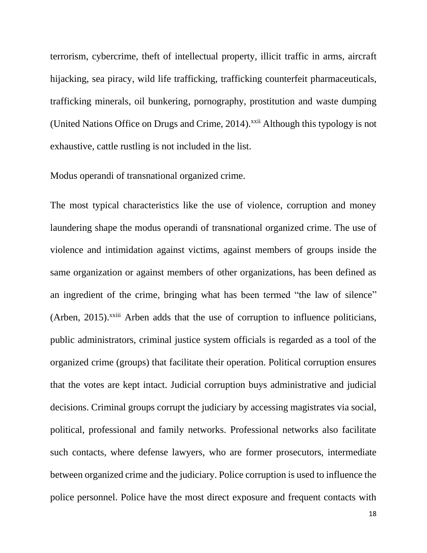terrorism, cybercrime, theft of intellectual property, illicit traffic in arms, aircraft hijacking, sea piracy, wild life trafficking, trafficking counterfeit pharmaceuticals, trafficking minerals, oil bunkering, pornography, prostitution and waste dumping (United Nations Office on Drugs and Crime, 2014).<sup>xxii</sup> Although this typology is not exhaustive, cattle rustling is not included in the list.

Modus operandi of transnational organized crime.

The most typical characteristics like the use of violence, corruption and money laundering shape the modus operandi of transnational organized crime. The use of violence and intimidation against victims, against members of groups inside the same organization or against members of other organizations, has been defined as an ingredient of the crime, bringing what has been termed "the law of silence" (Arben, 2015).<sup>xxiii</sup> Arben adds that the use of corruption to influence politicians, public administrators, criminal justice system officials is regarded as a tool of the organized crime (groups) that facilitate their operation. Political corruption ensures that the votes are kept intact. Judicial corruption buys administrative and judicial decisions. Criminal groups corrupt the judiciary by accessing magistrates via social, political, professional and family networks. Professional networks also facilitate such contacts, where defense lawyers, who are former prosecutors, intermediate between organized crime and the judiciary. Police corruption is used to influence the police personnel. Police have the most direct exposure and frequent contacts with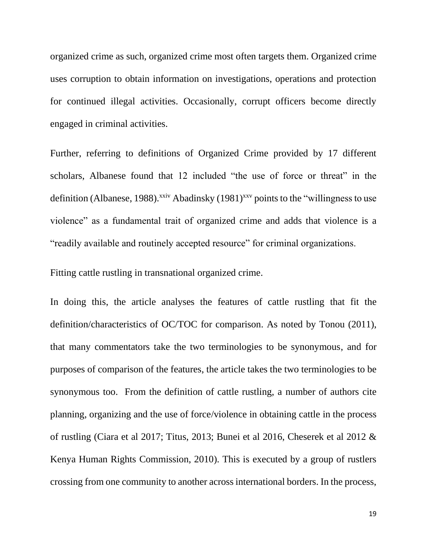organized crime as such, organized crime most often targets them. Organized crime uses corruption to obtain information on investigations, operations and protection for continued illegal activities. Occasionally, corrupt officers become directly engaged in criminal activities.

Further, referring to definitions of Organized Crime provided by 17 different scholars, Albanese found that 12 included "the use of force or threat" in the definition (Albanese, 1988).<sup>xxiv</sup> Abadinsky (1981)<sup>xxv</sup> points to the "willingness to use violence" as a fundamental trait of organized crime and adds that violence is a "readily available and routinely accepted resource" for criminal organizations.

Fitting cattle rustling in transnational organized crime.

In doing this, the article analyses the features of cattle rustling that fit the definition/characteristics of OC/TOC for comparison. As noted by Tonou (2011), that many commentators take the two terminologies to be synonymous, and for purposes of comparison of the features, the article takes the two terminologies to be synonymous too. From the definition of cattle rustling, a number of authors cite planning, organizing and the use of force/violence in obtaining cattle in the process of rustling (Ciara et al 2017; Titus, 2013; Bunei et al 2016, Cheserek et al 2012 & Kenya Human Rights Commission, 2010). This is executed by a group of rustlers crossing from one community to another across international borders. In the process,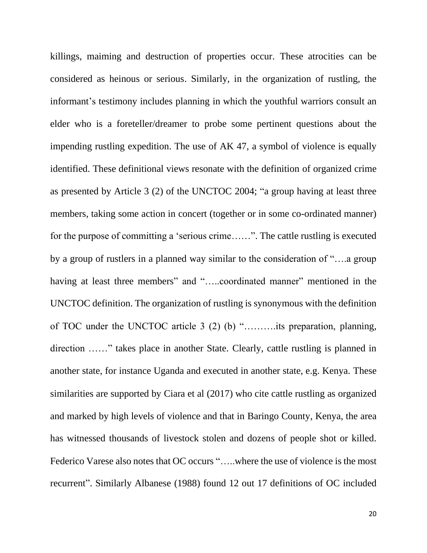killings, maiming and destruction of properties occur. These atrocities can be considered as heinous or serious. Similarly, in the organization of rustling, the informant's testimony includes planning in which the youthful warriors consult an elder who is a foreteller/dreamer to probe some pertinent questions about the impending rustling expedition. The use of AK 47, a symbol of violence is equally identified. These definitional views resonate with the definition of organized crime as presented by Article 3 (2) of the UNCTOC 2004; "a group having at least three members, taking some action in concert (together or in some co-ordinated manner) for the purpose of committing a 'serious crime……". The cattle rustling is executed by a group of rustlers in a planned way similar to the consideration of "….a group having at least three members" and ".....coordinated manner" mentioned in the UNCTOC definition. The organization of rustling is synonymous with the definition of TOC under the UNCTOC article 3 (2) (b) "……….its preparation, planning, direction ……" takes place in another State. Clearly, cattle rustling is planned in another state, for instance Uganda and executed in another state, e.g. Kenya. These similarities are supported by Ciara et al (2017) who cite cattle rustling as organized and marked by high levels of violence and that in Baringo County, Kenya, the area has witnessed thousands of livestock stolen and dozens of people shot or killed. Federico Varese also notes that OC occurs "…..where the use of violence is the most recurrent". Similarly Albanese (1988) found 12 out 17 definitions of OC included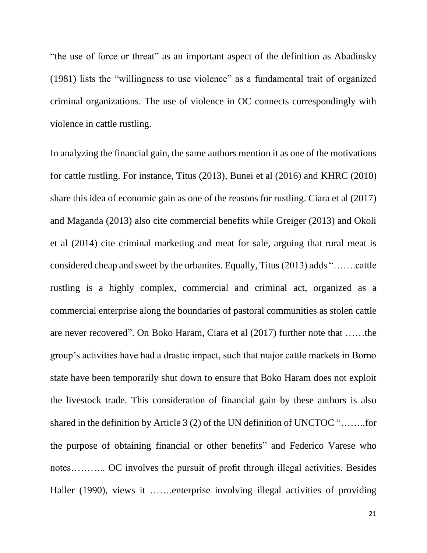"the use of force or threat" as an important aspect of the definition as Abadinsky (1981) lists the "willingness to use violence" as a fundamental trait of organized criminal organizations. The use of violence in OC connects correspondingly with violence in cattle rustling.

In analyzing the financial gain, the same authors mention it as one of the motivations for cattle rustling. For instance, Titus (2013), Bunei et al (2016) and KHRC (2010) share this idea of economic gain as one of the reasons for rustling. Ciara et al (2017) and Maganda (2013) also cite commercial benefits while Greiger (2013) and Okoli et al (2014) cite criminal marketing and meat for sale, arguing that rural meat is considered cheap and sweet by the urbanites. Equally, Titus(2013) adds "…….cattle rustling is a highly complex, commercial and criminal act, organized as a commercial enterprise along the boundaries of pastoral communities as stolen cattle are never recovered". On Boko Haram, Ciara et al (2017) further note that ……the group's activities have had a drastic impact, such that major cattle markets in Borno state have been temporarily shut down to ensure that Boko Haram does not exploit the livestock trade. This consideration of financial gain by these authors is also shared in the definition by Article 3 (2) of the UN definition of UNCTOC "……..for the purpose of obtaining financial or other benefits" and Federico Varese who notes……….. OC involves the pursuit of profit through illegal activities. Besides Haller (1990), views it …….enterprise involving illegal activities of providing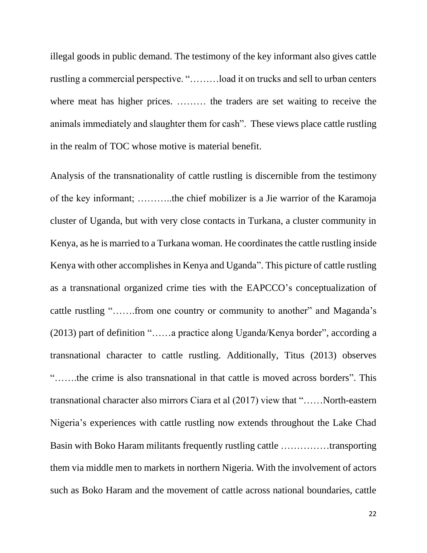illegal goods in public demand. The testimony of the key informant also gives cattle rustling a commercial perspective. "………load it on trucks and sell to urban centers where meat has higher prices. ……… the traders are set waiting to receive the animals immediately and slaughter them for cash". These views place cattle rustling in the realm of TOC whose motive is material benefit.

Analysis of the transnationality of cattle rustling is discernible from the testimony of the key informant; ………..the chief mobilizer is a Jie warrior of the Karamoja cluster of Uganda, but with very close contacts in Turkana, a cluster community in Kenya, as he is married to a Turkana woman. He coordinates the cattle rustling inside Kenya with other accomplishes in Kenya and Uganda". This picture of cattle rustling as a transnational organized crime ties with the EAPCCO's conceptualization of cattle rustling "…….from one country or community to another" and Maganda's (2013) part of definition "……a practice along Uganda/Kenya border", according a transnational character to cattle rustling. Additionally, Titus (2013) observes "…….the crime is also transnational in that cattle is moved across borders". This transnational character also mirrors Ciara et al (2017) view that "……North-eastern Nigeria's experiences with cattle rustling now extends throughout the Lake Chad Basin with Boko Haram militants frequently rustling cattle ……………transporting them via middle men to markets in northern Nigeria. With the involvement of actors such as Boko Haram and the movement of cattle across national boundaries, cattle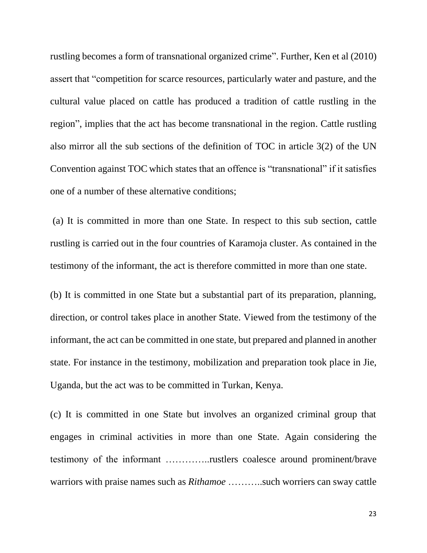rustling becomes a form of transnational organized crime". Further, Ken et al (2010) assert that "competition for scarce resources, particularly water and pasture, and the cultural value placed on cattle has produced a tradition of cattle rustling in the region", implies that the act has become transnational in the region. Cattle rustling also mirror all the sub sections of the definition of TOC in article 3(2) of the UN Convention against TOC which states that an offence is "transnational" if it satisfies one of a number of these alternative conditions;

(a) It is committed in more than one State. In respect to this sub section, cattle rustling is carried out in the four countries of Karamoja cluster. As contained in the testimony of the informant, the act is therefore committed in more than one state.

(b) It is committed in one State but a substantial part of its preparation, planning, direction, or control takes place in another State. Viewed from the testimony of the informant, the act can be committed in one state, but prepared and planned in another state. For instance in the testimony, mobilization and preparation took place in Jie, Uganda, but the act was to be committed in Turkan, Kenya.

(c) It is committed in one State but involves an organized criminal group that engages in criminal activities in more than one State. Again considering the testimony of the informant …………..rustlers coalesce around prominent/brave warriors with praise names such as *Rithamoe* .........such worriers can sway cattle

23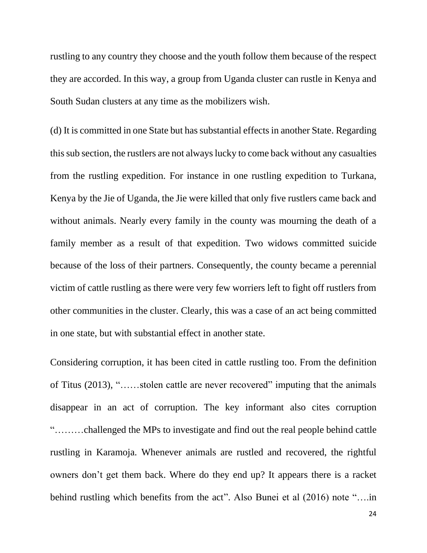rustling to any country they choose and the youth follow them because of the respect they are accorded. In this way, a group from Uganda cluster can rustle in Kenya and South Sudan clusters at any time as the mobilizers wish.

(d) It is committed in one State but has substantial effects in another State. Regarding this sub section, the rustlers are not always lucky to come back without any casualties from the rustling expedition. For instance in one rustling expedition to Turkana, Kenya by the Jie of Uganda, the Jie were killed that only five rustlers came back and without animals. Nearly every family in the county was mourning the death of a family member as a result of that expedition. Two widows committed suicide because of the loss of their partners. Consequently, the county became a perennial victim of cattle rustling as there were very few worriers left to fight off rustlers from other communities in the cluster. Clearly, this was a case of an act being committed in one state, but with substantial effect in another state.

Considering corruption, it has been cited in cattle rustling too. From the definition of Titus (2013), "……stolen cattle are never recovered" imputing that the animals disappear in an act of corruption. The key informant also cites corruption "………challenged the MPs to investigate and find out the real people behind cattle rustling in Karamoja. Whenever animals are rustled and recovered, the rightful owners don't get them back. Where do they end up? It appears there is a racket behind rustling which benefits from the act". Also Bunei et al (2016) note "….in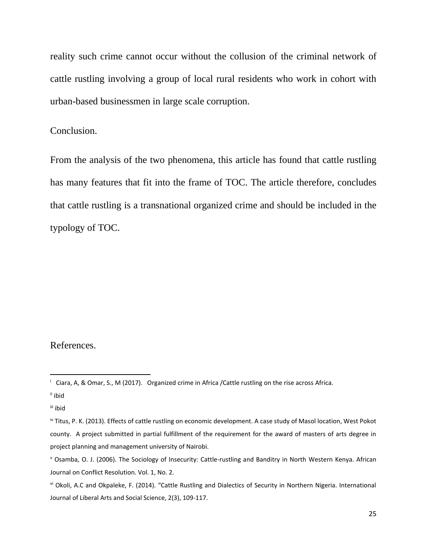reality such crime cannot occur without the collusion of the criminal network of cattle rustling involving a group of local rural residents who work in cohort with urban-based businessmen in large scale corruption.

#### Conclusion.

From the analysis of the two phenomena, this article has found that cattle rustling has many features that fit into the frame of TOC. The article therefore, concludes that cattle rustling is a transnational organized crime and should be included in the typology of TOC.

#### References.

ii ibid

iii ibid

i Ciara, A, & Omar, S., M (2017). Organized crime in Africa /Cattle rustling on the rise across Africa.

iv Titus, P. K. (2013). Effects of cattle rustling on economic development. A case study of Masol location, West Pokot county. A project submitted in partial fulfillment of the requirement for the award of masters of arts degree in project planning and management university of Nairobi.

<sup>v</sup> Osamba, O. J. (2006). The Sociology of Insecurity: Cattle-rustling and Banditry in North Western Kenya. African Journal on Conflict Resolution. Vol. 1, No. 2.

vi Okoli, A.C and Okpaleke, F. (2014). "Cattle Rustling and Dialectics of Security in Northern Nigeria. International Journal of Liberal Arts and Social Science, 2(3), 109-117.